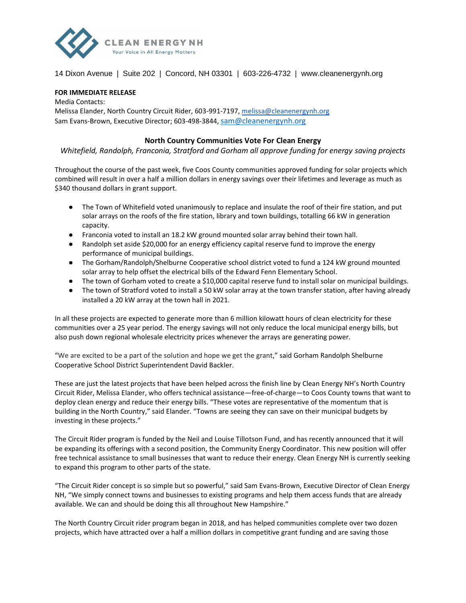

## 14 Dixon Avenue | Suite 202 | Concord, NH 03301 | 603-226-4732 | www.cleanenergynh.org

## **FOR IMMEDIATE RELEASE**

Media Contacts: Melissa Elander, North Country Circuit Rider, 603-991-7197, [melissa@cleanenergynh.org](mailto:melissa@cleanenergynh.org) Sam Evans-Brown, Executive Director; 603-498-3844, [sam@cleanenergynh.org](mailto:sam@cleanenergy.nh.org)

## **North Country Communities Vote For Clean Energy**

*Whitefield, Randolph, Franconia, Stratford and Gorham all approve funding for energy saving projects*

Throughout the course of the past week, five Coos County communities approved funding for solar projects which combined will result in over a half a million dollars in energy savings over their lifetimes and leverage as much as \$340 thousand dollars in grant support.

- The Town of Whitefield voted unanimously to replace and insulate the roof of their fire station, and put solar arrays on the roofs of the fire station, library and town buildings, totalling 66 kW in generation capacity.
- Franconia voted to install an 18.2 kW ground mounted solar array behind their town hall.
- Randolph set aside \$20,000 for an energy efficiency capital reserve fund to improve the energy performance of municipal buildings.
- The Gorham/Randolph/Shelburne Cooperative school district voted to fund a 124 kW ground mounted solar array to help offset the electrical bills of the Edward Fenn Elementary School.
- The town of Gorham voted to create a \$10,000 capital reserve fund to install solar on municipal buildings.
- The town of Stratford voted to install a 50 kW solar array at the town transfer station, after having already installed a 20 kW array at the town hall in 2021.

In all these projects are expected to generate more than 6 million kilowatt hours of clean electricity for these communities over a 25 year period. The energy savings will not only reduce the local municipal energy bills, but also push down regional wholesale electricity prices whenever the arrays are generating power.

"We are excited to be a part of the solution and hope we get the grant," said Gorham Randolph Shelburne Cooperative School District Superintendent David Backler.

These are just the latest projects that have been helped across the finish line by Clean Energy NH's North Country Circuit Rider, Melissa Elander, who offers technical assistance—free-of-charge—to Coos County towns that want to deploy clean energy and reduce their energy bills. "These votes are representative of the momentum that is building in the North Country," said Elander. "Towns are seeing they can save on their municipal budgets by investing in these projects."

The Circuit Rider program is funded by the Neil and Louise Tillotson Fund, and has recently announced that it will be expanding its offerings with a second position, the Community Energy Coordinator. This new position will offer free technical assistance to small businesses that want to reduce their energy. Clean Energy NH is currently seeking to expand this program to other parts of the state.

"The Circuit Rider concept is so simple but so powerful," said Sam Evans-Brown, Executive Director of Clean Energy NH, "We simply connect towns and businesses to existing programs and help them access funds that are already available. We can and should be doing this all throughout New Hampshire."

The North Country Circuit rider program began in 2018, and has helped communities complete over two dozen projects, which have attracted over a half a million dollars in competitive grant funding and are saving those